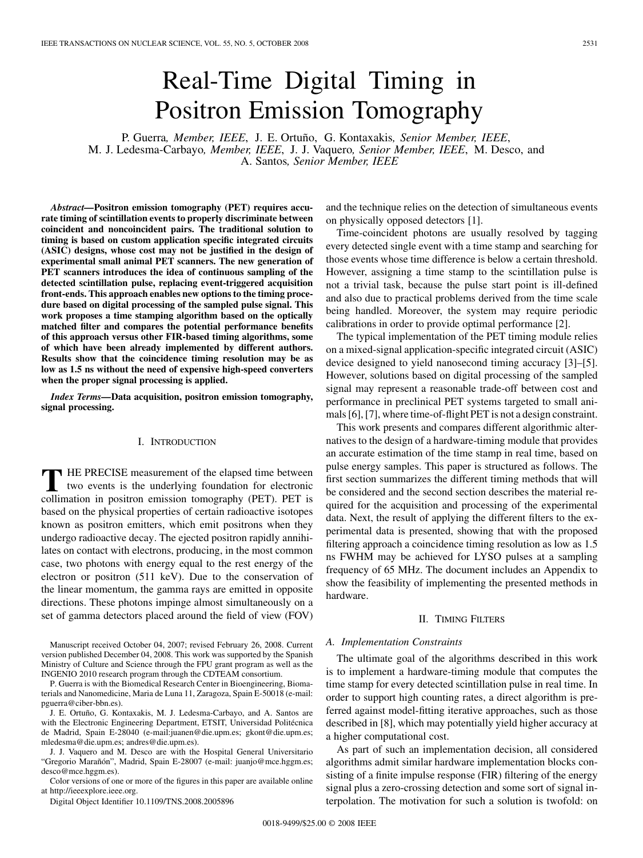# Real-Time Digital Timing in Positron Emission Tomography

P. Guerra*, Member, IEEE*, J. E. Ortuño, G. Kontaxakis*, Senior Member, IEEE*, M. J. Ledesma-Carbayo*, Member, IEEE*, J. J. Vaquero*, Senior Member, IEEE*, M. Desco, and A. Santos*, Senior Member, IEEE*

*Abstract—***Positron emission tomography (PET) requires accurate timing of scintillation events to properly discriminate between coincident and noncoincident pairs. The traditional solution to timing is based on custom application specific integrated circuits (ASIC) designs, whose cost may not be justified in the design of experimental small animal PET scanners. The new generation of PET scanners introduces the idea of continuous sampling of the detected scintillation pulse, replacing event-triggered acquisition front-ends. This approach enables new options to the timing procedure based on digital processing of the sampled pulse signal. This work proposes a time stamping algorithm based on the optically matched filter and compares the potential performance benefits of this approach versus other FIR-based timing algorithms, some of which have been already implemented by different authors. Results show that the coincidence timing resolution may be as low as 1.5 ns without the need of expensive high-speed converters when the proper signal processing is applied.**

*Index Terms—***Data acquisition, positron emission tomography, signal processing.**

## I. INTRODUCTION

**T** HE PRECISE measurement of the elapsed time between two events is the underlying foundation for electronic collimation in positron emission tomography (PET). PET is based on the physical properties of certain radioactive isotopes known as positron emitters, which emit positrons when they undergo radioactive decay. The ejected positron rapidly annihilates on contact with electrons, producing, in the most common case, two photons with energy equal to the rest energy of the electron or positron (511 keV). Due to the conservation of the linear momentum, the gamma rays are emitted in opposite directions. These photons impinge almost simultaneously on a set of gamma detectors placed around the field of view (FOV)

Manuscript received October 04, 2007; revised February 26, 2008. Current version published December 04, 2008. This work was supported by the Spanish Ministry of Culture and Science through the FPU grant program as well as the INGENIO 2010 research program through the CDTEAM consortium.

P. Guerra is with the Biomedical Research Center in Bioengineering, Biomaterials and Nanomedicine, Maria de Luna 11, Zaragoza, Spain E-50018 (e-mail: pguerra@ciber-bbn.es).

J. E. Ortuño, G. Kontaxakis, M. J. Ledesma-Carbayo, and A. Santos are with the Electronic Engineering Department, ETSIT, Universidad Politécnica de Madrid, Spain E-28040 (e-mail:juanen@die.upm.es; gkont@die.upm.es; mledesma@die.upm.es; andres@die.upm.es).

J. J. Vaquero and M. Desco are with the Hospital General Universitario "Gregorio Marañón", Madrid, Spain E-28007 (e-mail: juanjo@mce.hggm.es; desco@mce.hggm.es).

Color versions of one or more of the figures in this paper are available online at http://ieeexplore.ieee.org.

Digital Object Identifier 10.1109/TNS.2008.2005896

and the technique relies on the detection of simultaneous events on physically opposed detectors [1].

Time-coincident photons are usually resolved by tagging every detected single event with a time stamp and searching for those events whose time difference is below a certain threshold. However, assigning a time stamp to the scintillation pulse is not a trivial task, because the pulse start point is ill-defined and also due to practical problems derived from the time scale being handled. Moreover, the system may require periodic calibrations in order to provide optimal performance [2].

The typical implementation of the PET timing module relies on a mixed-signal application-specific integrated circuit (ASIC) device designed to yield nanosecond timing accuracy [3]–[5]. However, solutions based on digital processing of the sampled signal may represent a reasonable trade-off between cost and performance in preclinical PET systems targeted to small animals [6], [7], where time-of-flight PET is not a design constraint.

This work presents and compares different algorithmic alternatives to the design of a hardware-timing module that provides an accurate estimation of the time stamp in real time, based on pulse energy samples. This paper is structured as follows. The first section summarizes the different timing methods that will be considered and the second section describes the material required for the acquisition and processing of the experimental data. Next, the result of applying the different filters to the experimental data is presented, showing that with the proposed filtering approach a coincidence timing resolution as low as 1.5 ns FWHM may be achieved for LYSO pulses at a sampling frequency of 65 MHz. The document includes an Appendix to show the feasibility of implementing the presented methods in hardware.

## II. TIMING FILTERS

## *A. Implementation Constraints*

The ultimate goal of the algorithms described in this work is to implement a hardware-timing module that computes the time stamp for every detected scintillation pulse in real time. In order to support high counting rates, a direct algorithm is preferred against model-fitting iterative approaches, such as those described in [8], which may potentially yield higher accuracy at a higher computational cost.

As part of such an implementation decision, all considered algorithms admit similar hardware implementation blocks consisting of a finite impulse response (FIR) filtering of the energy signal plus a zero-crossing detection and some sort of signal interpolation. The motivation for such a solution is twofold: on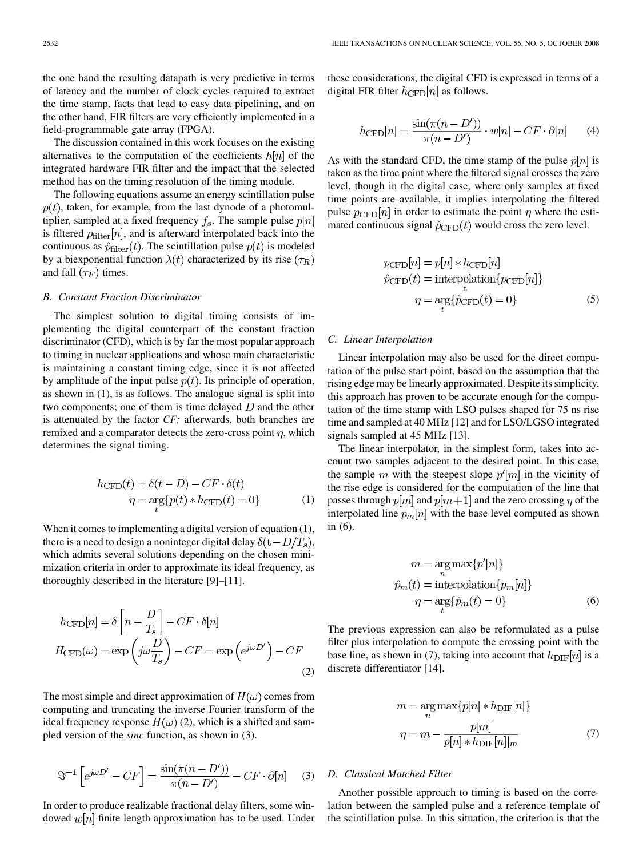the one hand the resulting datapath is very predictive in terms of latency and the number of clock cycles required to extract the time stamp, facts that lead to easy data pipelining, and on the other hand, FIR filters are very efficiently implemented in a field-programmable gate array (FPGA).

The discussion contained in this work focuses on the existing alternatives to the computation of the coefficients  $h[n]$  of the integrated hardware FIR filter and the impact that the selected method has on the timing resolution of the timing module.

The following equations assume an energy scintillation pulse  $p(t)$ , taken, for example, from the last dynode of a photomultiplier, sampled at a fixed frequency  $f_s$ . The sample pulse  $p[n]$ is filtered  $p_{\text{filter}}[n]$ , and is afterward interpolated back into the continuous as  $\hat{p}_{filter}(t)$ . The scintillation pulse  $p(t)$  is modeled by a biexponential function  $\lambda(t)$  characterized by its rise  $(\tau_R)$ and fall  $(\tau_F)$  times.

## *B. Constant Fraction Discriminator*

The simplest solution to digital timing consists of implementing the digital counterpart of the constant fraction discriminator (CFD), which is by far the most popular approach to timing in nuclear applications and whose main characteristic is maintaining a constant timing edge, since it is not affected by amplitude of the input pulse  $p(t)$ . Its principle of operation, as shown in (1), is as follows. The analogue signal is split into two components; one of them is time delayed  $D$  and the other is attenuated by the factor *CF;* afterwards, both branches are remixed and a comparator detects the zero-cross point  $\eta$ , which determines the signal timing.

$$
h_{\text{CFD}}(t) = \delta(t - D) - CF \cdot \delta(t)
$$

$$
\eta = \underset{t}{\arg} \{p(t) * h_{\text{CFD}}(t) = 0\} \tag{1}
$$

When it comes to implementing a digital version of equation (1), there is a need to design a noninteger digital delay  $\delta(t - D/T_s)$ , which admits several solutions depending on the chosen minimization criteria in order to approximate its ideal frequency, as thoroughly described in the literature [9]–[11].

$$
h_{\text{CFD}}[n] = \delta \left[ n - \frac{D}{T_s} \right] - CF \cdot \delta[n]
$$

$$
H_{\text{CFD}}(\omega) = \exp \left( j\omega \frac{D}{T_s} \right) - CF = \exp \left( e^{j\omega D'} \right) - CF
$$
(2)

The most simple and direct approximation of  $H(\omega)$  comes from computing and truncating the inverse Fourier transform of the ideal frequency response  $H(\omega)$  (2), which is a shifted and sampled version of the *sinc* function, as shown in (3).

$$
\mathfrak{F}^{-1}\left[e^{j\omega D'} - CF\right] = \frac{\sin(\pi(n - D'))}{\pi(n - D')} - CF \cdot \partial[n] \tag{3}
$$

In order to produce realizable fractional delay filters, some windowed  $w[n]$  finite length approximation has to be used. Under

these considerations, the digital CFD is expressed in terms of a digital FIR filter  $h_{\text{CFD}}[n]$  as follows.

$$
h_{\text{CFD}}[n] = \frac{\sin(\pi(n - D'))}{\pi(n - D')} \cdot w[n] - CF \cdot \partial[n] \tag{4}
$$

As with the standard CFD, the time stamp of the pulse  $p[n]$  is taken as the time point where the filtered signal crosses the zero level, though in the digital case, where only samples at fixed time points are available, it implies interpolating the filtered pulse  $p_{\text{CFD}}[n]$  in order to estimate the point  $\eta$  where the estimated continuous signal  $\hat{p}_{\text{CFD}}(t)$  would cross the zero level.

$$
p_{\text{CFD}}[n] = p[n] * h_{\text{CFD}}[n]
$$
  

$$
\hat{p}_{\text{CFD}}(t) = \text{interpolation}\{p_{\text{CFD}}[n]\}
$$
  

$$
\eta = \underset{t}{\arg}\{\hat{p}_{\text{CFD}}(t) = 0\}
$$
 (5)

#### *C. Linear Interpolation*

Linear interpolation may also be used for the direct computation of the pulse start point, based on the assumption that the rising edge may be linearly approximated. Despite its simplicity, this approach has proven to be accurate enough for the computation of the time stamp with LSO pulses shaped for 75 ns rise time and sampled at 40 MHz [12] and for LSO/LGSO integrated signals sampled at 45 MHz [13].

The linear interpolator, in the simplest form, takes into account two samples adjacent to the desired point. In this case, the sample m with the steepest slope  $p'[m]$  in the vicinity of the rise edge is considered for the computation of the line that passes through  $p[m]$  and  $p[m+1]$  and the zero crossing  $\eta$  of the interpolated line  $p_m[n]$  with the base level computed as shown in (6).

$$
m = \underset{n}{\arg \max} \{p'[n]\}
$$
  

$$
\hat{p}_m(t) = \text{interpolation}\{p_m[n]\}
$$
  

$$
\eta = \underset{n}{\arg}\{\hat{p}_m(t) = 0\}
$$
 (6)

The previous expression can also be reformulated as a pulse filter plus interpolation to compute the crossing point with the base line, as shown in (7), taking into account that  $h_{\text{DIF}}[n]$  is a discrete differentiator [14].

$$
m = \underset{n}{\arg \max} \{ p[n] * h_{\text{DIF}}[n] \}
$$

$$
\eta = m - \frac{p[m]}{p[n] * h_{\text{DIF}}[n]|_m} \tag{7}
$$

#### *D. Classical Matched Filter*

Another possible approach to timing is based on the correlation between the sampled pulse and a reference template of the scintillation pulse. In this situation, the criterion is that the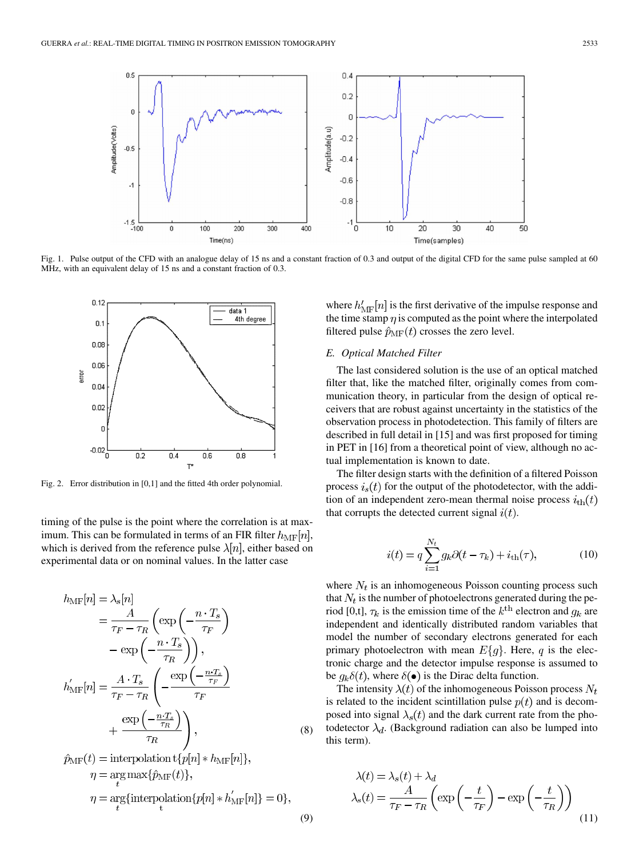

Fig. 1. Pulse output of the CFD with an analogue delay of 15 ns and a constant fraction of 0.3 and output of the digital CFD for the same pulse sampled at 60 MHz, with an equivalent delay of 15 ns and a constant fraction of 0.3.

(9)

 $\sim$  2.8

 $\mathbf{v} = \mathbf{v}$ 



Fig. 2. Error distribution in [0,1] and the fitted 4th order polynomial.

timing of the pulse is the point where the correlation is at maximum. This can be formulated in terms of an FIR filter  $h_{\text{MF}}[n]$ , which is derived from the reference pulse  $\lambda[n]$ , either based on experimental data or on nominal values. In the latter case

$$
h_{\text{MF}}[n] = \lambda_s[n]
$$
  
\n
$$
= \frac{A}{\tau_F - \tau_R} \left( \exp\left( -\frac{n \cdot T_s}{\tau_F} \right) - \exp\left( -\frac{n \cdot T_s}{\tau_R} \right) \right),
$$
  
\n
$$
h'_{\text{MF}}[n] = \frac{A \cdot T_s}{\tau_F - \tau_R} \left( -\frac{\exp\left( -\frac{n \cdot T_s}{\tau_F} \right)}{\tau_F} + \frac{\exp\left( -\frac{n \cdot T_s}{\tau_R} \right)}{\tau_R} \right),
$$
  
\n
$$
\hat{p}_{\text{MF}}(t) = \text{interpolation } t\{p[n] * h_{\text{MF}}[n] \},
$$
  
\n
$$
p = \text{argmax} \{\hat{p} \cdot (t)\}
$$

$$
\eta = \underset{t}{\arg \max} \{ \hat{p}_{\text{MF}}(t) \},
$$
  

$$
\eta = \underset{t}{\arg \{\text{interpolation}\{p[n] * h'_{\text{MF}}[n]\}} = 0 \},
$$

where  $h'_{\text{MF}}[n]$  is the first derivative of the impulse response and the time stamp  $\eta$  is computed as the point where the interpolated filtered pulse  $\hat{p}_{\text{MF}}(t)$  crosses the zero level.

## *E. Optical Matched Filter*

The last considered solution is the use of an optical matched filter that, like the matched filter, originally comes from communication theory, in particular from the design of optical receivers that are robust against uncertainty in the statistics of the observation process in photodetection. This family of filters are described in full detail in [15] and was first proposed for timing in PET in [16] from a theoretical point of view, although no actual implementation is known to date.

The filter design starts with the definition of a filtered Poisson process  $i_s(t)$  for the output of the photodetector, with the addition of an independent zero-mean thermal noise process  $i_{\text{th}}(t)$ that corrupts the detected current signal  $i(t)$ .

$$
i(t) = q \sum_{i=1}^{N_t} g_k \partial(t - \tau_k) + i_{\text{th}}(\tau), \tag{10}
$$

where  $N_t$  is an inhomogeneous Poisson counting process such that  $N_t$  is the number of photoelectrons generated during the period [0,t],  $\tau_k$  is the emission time of the  $k^{\text{th}}$  electron and  $q_k$  are independent and identically distributed random variables that model the number of secondary electrons generated for each primary photoelectron with mean  $E{g}$ . Here, q is the electronic charge and the detector impulse response is assumed to be  $g_k \delta(t)$ , where  $\delta(\bullet)$  is the Dirac delta function.

The intensity  $\lambda(t)$  of the inhomogeneous Poisson process  $N_t$ is related to the incident scintillation pulse  $p(t)$  and is decomposed into signal  $\lambda_s(t)$  and the dark current rate from the photodetector  $\lambda_d$ . (Background radiation can also be lumped into this term).

$$
\lambda(t) = \lambda_s(t) + \lambda_d
$$
  

$$
\lambda_s(t) = \frac{A}{\tau_F - \tau_R} \left( \exp\left(-\frac{t}{\tau_F}\right) - \exp\left(-\frac{t}{\tau_R}\right) \right)
$$
(11)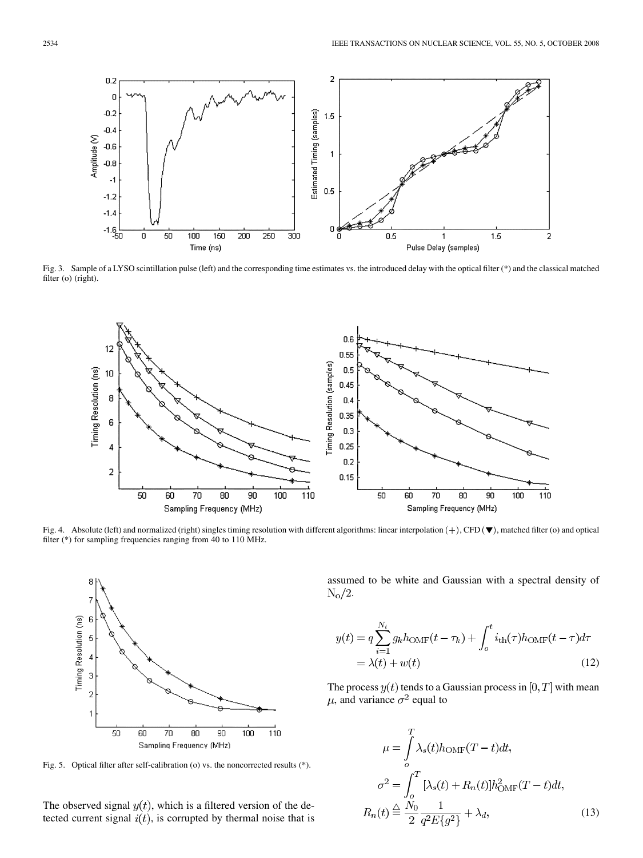

Fig. 3. Sample of a LYSO scintillation pulse (left) and the corresponding time estimates vs. the introduced delay with the optical filter (\*) and the classical matched filter (o) (right).



Fig. 4. Absolute (left) and normalized (right) singles timing resolution with different algorithms: linear interpolation  $(+)$ , CFD  $(\blacktriangledown)$ , matched filter (o) and optical filter (\*) for sampling frequencies ranging from 40 to 110 MHz.



Fig. 5. Optical filter after self-calibration (o) vs. the noncorrected results (\*).

The observed signal  $y(t)$ , which is a filtered version of the detected current signal  $i(t)$ , is corrupted by thermal noise that is

assumed to be white and Gaussian with a spectral density of  $N_{\rm o}/2$ .

$$
y(t) = q \sum_{i=1}^{N_t} g_k h_{\text{OMF}}(t - \tau_k) + \int_o^t i_{\text{th}}(\tau) h_{\text{OMF}}(t - \tau) d\tau
$$
  
=  $\lambda(t) + w(t)$  (12)

The process  $y(t)$  tends to a Gaussian process in  $[0, T]$  with mean  $\mu$ , and variance  $\sigma^2$  equal to

$$
\mu = \int_{o}^{T} \lambda_{s}(t)h_{\text{OMF}}(T-t)dt,
$$

$$
\sigma^{2} = \int_{o}^{T} [\lambda_{s}(t) + R_{n}(t)]h_{\text{OMF}}^{2}(T-t)dt,
$$

$$
R_{n}(t) \stackrel{\triangle}{=} \frac{N_{0}}{2} \frac{1}{q^{2}E\{g^{2}\}} + \lambda_{d},
$$
(13)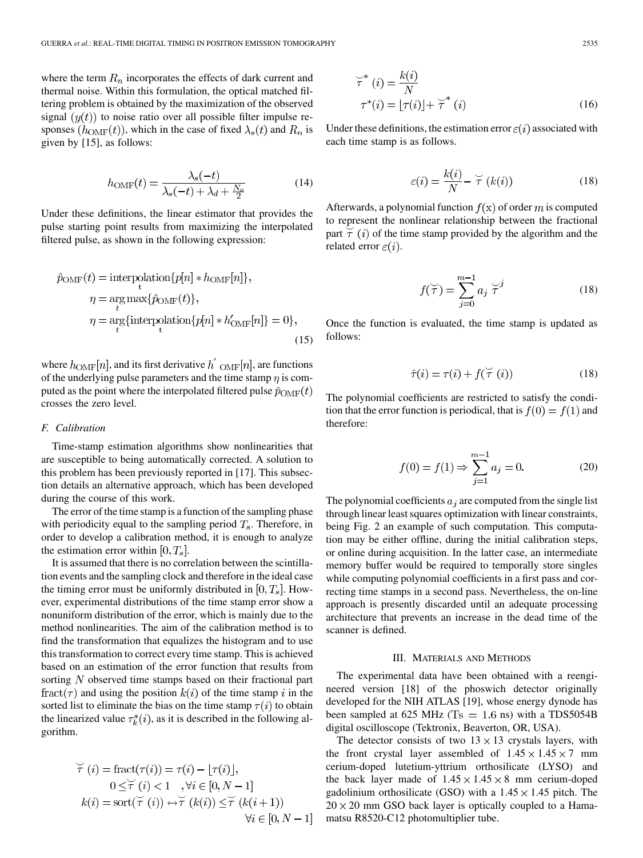where the term  $R_n$  incorporates the effects of dark current and thermal noise. Within this formulation, the optical matched filtering problem is obtained by the maximization of the observed signal  $(y(t))$  to noise ratio over all possible filter impulse responses  $(h_{\text{OMF}}(t))$ , which in the case of fixed  $\lambda_s(t)$  and  $R_n$  is given by [15], as follows:

$$
h_{\text{OMF}}(t) = \frac{\lambda_s(-t)}{\lambda_s(-t) + \lambda_d + \frac{N_o}{2}}\tag{14}
$$

Under these definitions, the linear estimator that provides the pulse starting point results from maximizing the interpolated filtered pulse, as shown in the following expression:

$$
\hat{p}_{\text{OMF}}(t) = \underset{t}{\text{interpolation}} \{p[n] * h_{\text{OMF}}[n]\},
$$
\n
$$
\eta = \underset{t}{\text{arg max}} \{\hat{p}_{\text{OMF}}(t)\},
$$
\n
$$
\eta = \underset{t}{\text{arg}} \{\text{interpolation}\{p[n] * h'_{\text{OMF}}[n]\} = 0\},
$$
\n(15)

where  $h_{\text{OMF}}[n]$ , and its first derivative  $h'_{\text{OMF}}[n]$ , are functions of the underlying pulse parameters and the time stamp  $\eta$  is computed as the point where the interpolated filtered pulse  $\hat{p}_{\text{OMF}}(t)$ crosses the zero level.

#### *F. Calibration*

Time-stamp estimation algorithms show nonlinearities that are susceptible to being automatically corrected. A solution to this problem has been previously reported in [17]. This subsection details an alternative approach, which has been developed during the course of this work.

The error of the time stamp is a function of the sampling phase with periodicity equal to the sampling period  $T_s$ . Therefore, in order to develop a calibration method, it is enough to analyze the estimation error within  $[0, T_s]$ .

It is assumed that there is no correlation between the scintillation events and the sampling clock and therefore in the ideal case the timing error must be uniformly distributed in  $[0, T_s]$ . However, experimental distributions of the time stamp error show a nonuniform distribution of the error, which is mainly due to the method nonlinearities. The aim of the calibration method is to find the transformation that equalizes the histogram and to use this transformation to correct every time stamp. This is achieved based on an estimation of the error function that results from sorting  $N$  observed time stamps based on their fractional part  $\text{fract}(\tau)$  and using the position  $k(i)$  of the time stamp i in the sorted list to eliminate the bias on the time stamp  $\tau(i)$  to obtain the linearized value  $\tau_k^*(i)$ , as it is described in the following algorithm.

$$
\widetilde{\tau}(i) = \text{fract}(\tau(i)) = \tau(i) - \lfloor \tau(i) \rfloor, \n0 \leq \widetilde{\tau}(i) < 1, \forall i \in [0, N - 1] \nk(i) = \text{sort}(\widetilde{\tau}(i)) \leftrightarrow \widetilde{\tau}(k(i)) \leq \widetilde{\tau}(k(i+1)) \n\forall i \in [0, N - 1]
$$

$$
\overline{\tau}^*(i) = \frac{k(i)}{N}
$$
  
\n
$$
\tau^*(i) = \lfloor \tau(i) \rfloor + \overline{\tau}^*(i)
$$
 (16)

Under these definitions, the estimation error  $\varepsilon(i)$  associated with each time stamp is as follows.

$$
\varepsilon(i) = \frac{k(i)}{N} - \stackrel{\smile}{\tau} (k(i)) \tag{18}
$$

Afterwards, a polynomial function  $f(x)$  of order m is computed to represent the nonlinear relationship between the fractional part  $\tilde{\tau}$  (*i*) of the time stamp provided by the algorithm and the related error  $\varepsilon(i)$ .

$$
f(\breve{\tau}) = \sum_{j=0}^{m-1} a_j \; \breve{\tau}^j \tag{18}
$$

Once the function is evaluated, the time stamp is updated as follows:

$$
\hat{\tau}(i) = \tau(i) + f(\breve{\tau}(i))\tag{18}
$$

The polynomial coefficients are restricted to satisfy the condition that the error function is periodical, that is  $f(0) = f(1)$  and therefore:

$$
f(0) = f(1) \Rightarrow \sum_{j=1}^{m-1} a_j = 0.
$$
 (20)

The polynomial coefficients  $a_i$  are computed from the single list through linear least squares optimization with linear constraints, being Fig. 2 an example of such computation. This computation may be either offline, during the initial calibration steps, or online during acquisition. In the latter case, an intermediate memory buffer would be required to temporally store singles while computing polynomial coefficients in a first pass and correcting time stamps in a second pass. Nevertheless, the on-line approach is presently discarded until an adequate processing architecture that prevents an increase in the dead time of the scanner is defined.

#### III. MATERIALS AND METHODS

The experimental data have been obtained with a reengineered version [18] of the phoswich detector originally developed for the NIH ATLAS [19], whose energy dynode has been sampled at 625 MHz ( $Ts = 1.6$  ns) with a TDS5054B digital oscilloscope (Tektronix, Beaverton, OR, USA).

The detector consists of two  $13 \times 13$  crystals layers, with the front crystal layer assembled of  $1.45 \times 1.45 \times 7$  mm cerium-doped lutetium-yttrium orthosilicate (LYSO) and the back layer made of  $1.45 \times 1.45 \times 8$  mm cerium-doped gadolinium orthosilicate (GSO) with a  $1.45 \times 1.45$  pitch. The  $20 \times 20$  mm GSO back layer is optically coupled to a Hamamatsu R8520-C12 photomultiplier tube.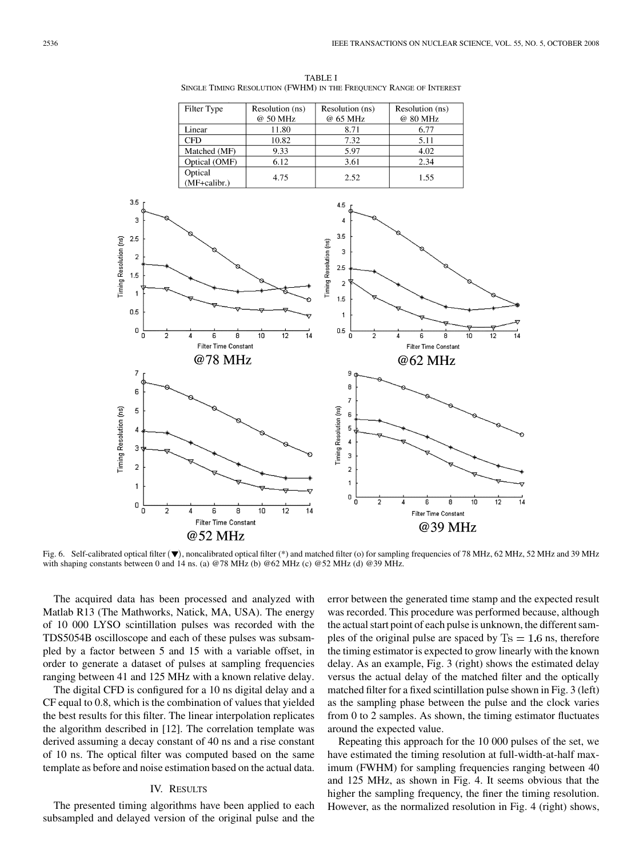| Filter Type             | Resolution (ns) | Resolution (ns) | Resolution (ns) |
|-------------------------|-----------------|-----------------|-----------------|
|                         | @ 50 MHz        | @ 65 MHz        | @ 80 MHz        |
| Linear                  | 11.80           | 8.71            | 6.77            |
| <b>CFD</b>              | 10.82           | 7.32            | 5.11            |
| Matched (MF)            | 9.33            | 5.97            | 4.02            |
| Optical (OMF)           | 6.12            | 3.61            | 2.34            |
| Optical<br>(MF+calibr.) | 4.75            | 2.52            | 1.55            |

TABLE I SINGLE TIMING RESOLUTION (FWHM) IN THE FREQUENCY RANGE OF INTEREST



Fig. 6. Self-calibrated optical filter (▼), noncalibrated optical filter (\*) and matched filter (o) for sampling frequencies of 78 MHz, 62 MHz, 52 MHz and 39 MHz with shaping constants between 0 and 14 ns. (a) @78 MHz (b) @62 MHz (c) @52 MHz (d) @39 MHz.

The acquired data has been processed and analyzed with Matlab R13 (The Mathworks, Natick, MA, USA). The energy of 10 000 LYSO scintillation pulses was recorded with the TDS5054B oscilloscope and each of these pulses was subsampled by a factor between 5 and 15 with a variable offset, in order to generate a dataset of pulses at sampling frequencies ranging between 41 and 125 MHz with a known relative delay.

The digital CFD is configured for a 10 ns digital delay and a CF equal to 0.8, which is the combination of values that yielded the best results for this filter. The linear interpolation replicates the algorithm described in [12]. The correlation template was derived assuming a decay constant of 40 ns and a rise constant of 10 ns. The optical filter was computed based on the same template as before and noise estimation based on the actual data.

## IV. RESULTS

The presented timing algorithms have been applied to each subsampled and delayed version of the original pulse and the error between the generated time stamp and the expected result was recorded. This procedure was performed because, although the actual start point of each pulse is unknown, the different samples of the original pulse are spaced by  $Ts = 1.6$  ns, therefore the timing estimator is expected to grow linearly with the known delay. As an example, Fig. 3 (right) shows the estimated delay versus the actual delay of the matched filter and the optically matched filter for a fixed scintillation pulse shown in Fig. 3 (left) as the sampling phase between the pulse and the clock varies from 0 to 2 samples. As shown, the timing estimator fluctuates around the expected value.

Repeating this approach for the 10 000 pulses of the set, we have estimated the timing resolution at full-width-at-half maximum (FWHM) for sampling frequencies ranging between 40 and 125 MHz, as shown in Fig. 4. It seems obvious that the higher the sampling frequency, the finer the timing resolution. However, as the normalized resolution in Fig. 4 (right) shows,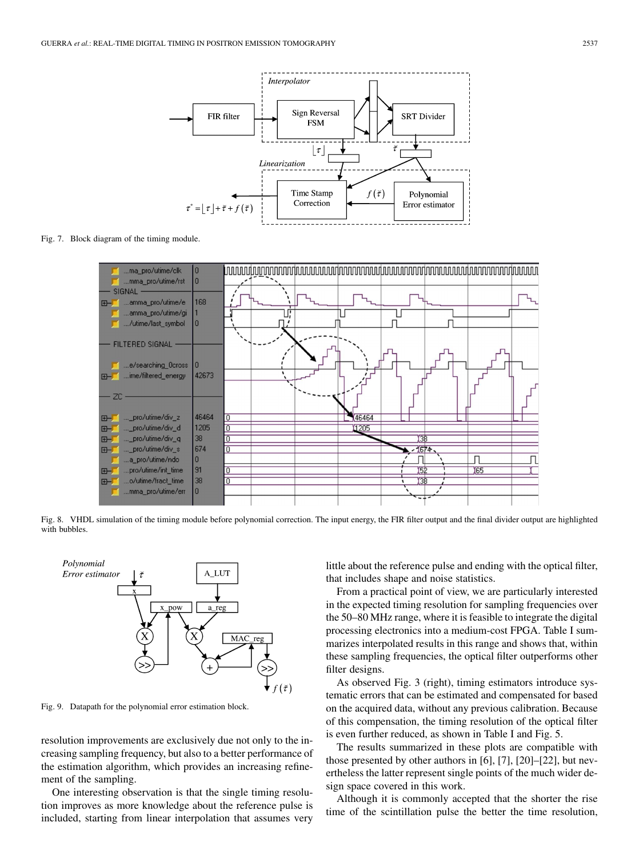

Fig. 7. Block diagram of the timing module.



Fig. 8. VHDL simulation of the timing module before polynomial correction. The input energy, the FIR filter output and the final divider output are highlighted with bubbles.



Fig. 9. Datapath for the polynomial error estimation block.

resolution improvements are exclusively due not only to the increasing sampling frequency, but also to a better performance of the estimation algorithm, which provides an increasing refinement of the sampling.

One interesting observation is that the single timing resolution improves as more knowledge about the reference pulse is included, starting from linear interpolation that assumes very

little about the reference pulse and ending with the optical filter, that includes shape and noise statistics.

From a practical point of view, we are particularly interested in the expected timing resolution for sampling frequencies over the 50–80 MHz range, where it is feasible to integrate the digital processing electronics into a medium-cost FPGA. Table I summarizes interpolated results in this range and shows that, within these sampling frequencies, the optical filter outperforms other filter designs.

As observed Fig. 3 (right), timing estimators introduce systematic errors that can be estimated and compensated for based on the acquired data, without any previous calibration. Because of this compensation, the timing resolution of the optical filter is even further reduced, as shown in Table I and Fig. 5.

The results summarized in these plots are compatible with those presented by other authors in [6], [7], [20]–[22], but nevertheless the latter represent single points of the much wider design space covered in this work.

Although it is commonly accepted that the shorter the rise time of the scintillation pulse the better the time resolution,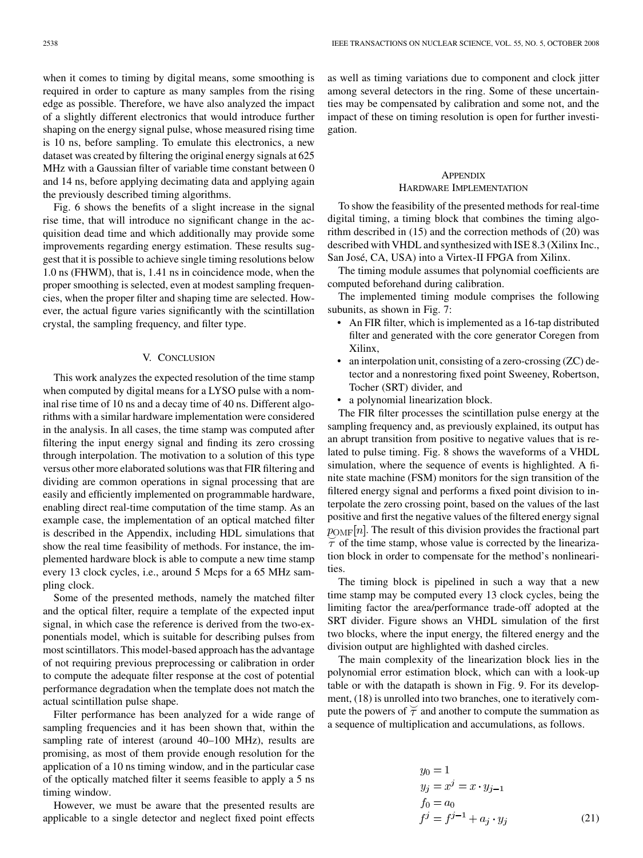when it comes to timing by digital means, some smoothing is required in order to capture as many samples from the rising edge as possible. Therefore, we have also analyzed the impact of a slightly different electronics that would introduce further shaping on the energy signal pulse, whose measured rising time is 10 ns, before sampling. To emulate this electronics, a new dataset was created by filtering the original energy signals at 625 MHz with a Gaussian filter of variable time constant between 0 and 14 ns, before applying decimating data and applying again the previously described timing algorithms.

Fig. 6 shows the benefits of a slight increase in the signal rise time, that will introduce no significant change in the acquisition dead time and which additionally may provide some improvements regarding energy estimation. These results suggest that it is possible to achieve single timing resolutions below 1.0 ns (FHWM), that is, 1.41 ns in coincidence mode, when the proper smoothing is selected, even at modest sampling frequencies, when the proper filter and shaping time are selected. However, the actual figure varies significantly with the scintillation crystal, the sampling frequency, and filter type.

# V. CONCLUSION

This work analyzes the expected resolution of the time stamp when computed by digital means for a LYSO pulse with a nominal rise time of 10 ns and a decay time of 40 ns. Different algorithms with a similar hardware implementation were considered in the analysis. In all cases, the time stamp was computed after filtering the input energy signal and finding its zero crossing through interpolation. The motivation to a solution of this type versus other more elaborated solutions was that FIR filtering and dividing are common operations in signal processing that are easily and efficiently implemented on programmable hardware, enabling direct real-time computation of the time stamp. As an example case, the implementation of an optical matched filter is described in the Appendix, including HDL simulations that show the real time feasibility of methods. For instance, the implemented hardware block is able to compute a new time stamp every 13 clock cycles, i.e., around 5 Mcps for a 65 MHz sampling clock.

Some of the presented methods, namely the matched filter and the optical filter, require a template of the expected input signal, in which case the reference is derived from the two-exponentials model, which is suitable for describing pulses from most scintillators. This model-based approach has the advantage of not requiring previous preprocessing or calibration in order to compute the adequate filter response at the cost of potential performance degradation when the template does not match the actual scintillation pulse shape.

Filter performance has been analyzed for a wide range of sampling frequencies and it has been shown that, within the sampling rate of interest (around 40–100 MHz), results are promising, as most of them provide enough resolution for the application of a 10 ns timing window, and in the particular case of the optically matched filter it seems feasible to apply a 5 ns timing window.

However, we must be aware that the presented results are applicable to a single detector and neglect fixed point effects as well as timing variations due to component and clock jitter among several detectors in the ring. Some of these uncertainties may be compensated by calibration and some not, and the impact of these on timing resolution is open for further investigation.

# APPENDIX HARDWARE IMPLEMENTATION

To show the feasibility of the presented methods for real-time digital timing, a timing block that combines the timing algorithm described in (15) and the correction methods of (20) was described with VHDL and synthesized with ISE 8.3 (Xilinx Inc., San José, CA, USA) into a Virtex-II FPGA from Xilinx.

The timing module assumes that polynomial coefficients are computed beforehand during calibration.

The implemented timing module comprises the following subunits, as shown in Fig. 7:

- An FIR filter, which is implemented as a 16-tap distributed filter and generated with the core generator Coregen from Xilinx,
- an interpolation unit, consisting of a zero-crossing (ZC) detector and a nonrestoring fixed point Sweeney, Robertson, Tocher (SRT) divider, and
- a polynomial linearization block.

The FIR filter processes the scintillation pulse energy at the sampling frequency and, as previously explained, its output has an abrupt transition from positive to negative values that is related to pulse timing. Fig. 8 shows the waveforms of a VHDL simulation, where the sequence of events is highlighted. A finite state machine (FSM) monitors for the sign transition of the filtered energy signal and performs a fixed point division to interpolate the zero crossing point, based on the values of the last positive and first the negative values of the filtered energy signal  $p_{\text{OMF}}[n]$ . The result of this division provides the fractional part  $\overline{\tau}$  of the time stamp, whose value is corrected by the linearization block in order to compensate for the method's nonlinearities.

The timing block is pipelined in such a way that a new time stamp may be computed every 13 clock cycles, being the limiting factor the area/performance trade-off adopted at the SRT divider. Figure shows an VHDL simulation of the first two blocks, where the input energy, the filtered energy and the division output are highlighted with dashed circles.

The main complexity of the linearization block lies in the polynomial error estimation block, which can with a look-up table or with the datapath is shown in Fig. 9. For its development, (18) is unrolled into two branches, one to iteratively compute the powers of  $\tau$  and another to compute the summation as a sequence of multiplication and accumulations, as follows.

$$
y_0 = 1
$$
  
\n
$$
y_j = x^j = x \cdot y_{j-1}
$$
  
\n
$$
f_0 = a_0
$$
  
\n
$$
f^j = f^{j-1} + a_j \cdot y_j
$$
\n(21)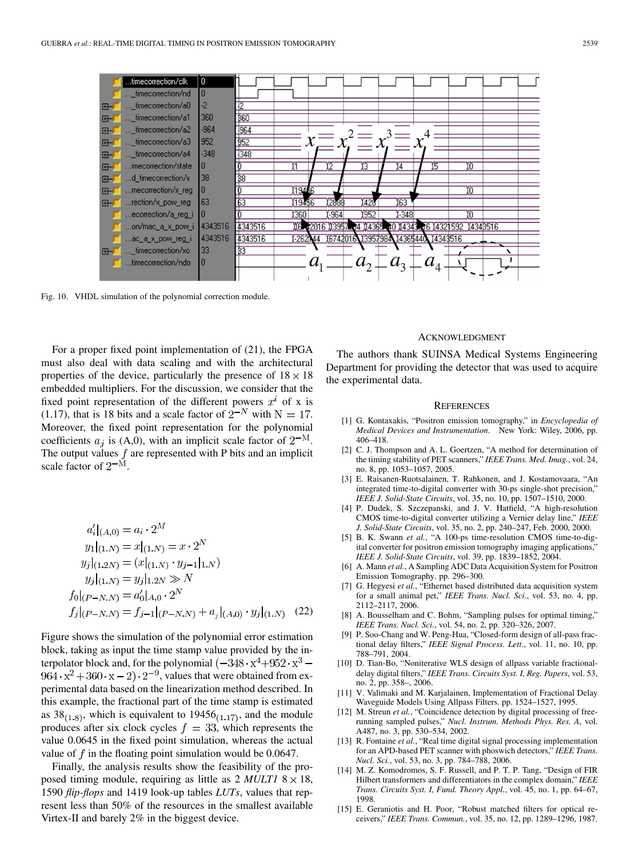

Fig. 10. VHDL simulation of the polynomial correction module.

For a proper fixed point implementation of (21), the FPGA must also deal with data scaling and with the architectural properties of the device, particularly the presence of  $18 \times 18$ embedded multipliers. For the discussion, we consider that the fixed point representation of the different powers  $x^i$  of x is (1.17), that is 18 bits and a scale factor of  $2^{-N}$  with  $N = 17$ . Moreover, the fixed point representation for the polynomial coefficients  $a_j$  is (A,0), with an implicit scale factor of  $2^{-M}$ . The output values  $f$  are represented with P bits and an implicit scale factor of  $2^{-M}$ .

$$
a'_{i}|_{(A,0)} = a_{i} \cdot 2^{M}
$$
  
\n
$$
y_{1}|_{(1,N)} = x|_{(1,N)} = x \cdot 2^{N}
$$
  
\n
$$
y_{j}|_{(1,2N)} = (x|_{(1,N)} \cdot y_{j-1}|_{1,N})
$$
  
\n
$$
y_{j}|_{(1,N)} = y_{j}|_{1,2N} \gg N
$$
  
\n
$$
f_{0}|_{(P-N,N)} = a'_{0}|_{A,0} \cdot 2^{N}
$$
  
\n
$$
f_{j}|_{(P-N,N)} = f_{j-1}|_{(P-N,N)} + a_{j}|_{(A,0)} \cdot y_{j}|_{(1,N)}
$$
 (22)

Figure shows the simulation of the polynomial error estimation block, taking as input the time stamp value provided by the interpolator block and, for the polynomial  $(-348 \cdot x^4 + 952 \cdot x^3 964 \cdot x^2 + 360 \cdot x - 2 \cdot 2^{-9}$ , values that were obtained from experimental data based on the linearization method described. In this example, the fractional part of the time stamp is estimated as  $38<sub>(1.8)</sub>$ , which is equivalent to  $19456<sub>(1.17)</sub>$ , and the module produces after six clock cycles  $f = 33$ , which represents the value 0.0645 in the fixed point simulation, whereas the actual value of  $f$  in the floating point simulation would be 0.0647.

Finally, the analysis results show the feasibility of the proposed timing module, requiring as little as  $2 \text{ } MULT1 \text{ } 8 \times 18$ , 1590 *flip-flops* and 1419 look-up tables *LUTs*, values that represent less than 50% of the resources in the smallest available Virtex-II and barely 2% in the biggest device.

#### ACKNOWLEDGMENT

The authors thank SUINSA Medical Systems Engineering Department for providing the detector that was used to acquire the experimental data.

#### **REFERENCES**

- [1] G. Kontaxakis, "Positron emission tomography," in *Encyclopedia of Medical Devices and Instrumentation*. New York: Wiley, 2006, pp. 406–418.
- [2] C. J. Thompson and A. L. Goertzen, "A method for determination of the timing stability of PET scanners," *IEEE Trans. Med. Imag.*, vol. 24, no. 8, pp. 1053–1057, 2005.
- [3] E. Raisanen-Ruotsalainen, T. Rahkonen, and J. Kostamovaara, "An integrated time-to-digital converter with 30-ps single-shot precision," *IEEE J. Solid-State Circuits*, vol. 35, no. 10, pp. 1507–1510, 2000.
- [4] P. Dudek, S. Szczepanski, and J. V. Hatfield, "A high-resolution CMOS time-to-digital converter utilizing a Vernier delay line," *IEEE J. Solid-State Circuits*, vol. 35, no. 2, pp. 240–247, Feb. 2000, 2000.
- [5] B. K. Swann *et al.*, "A 100-ps time-resolution CMOS time-to-digital converter for positron emission tomography imaging applications, *IEEE J. Solid-State Circuits*, vol. 39, pp. 1839–1852, 2004.
- [6] A. Mann *et al.*, A Sampling ADC Data Acquisition System for Positron Emission Tomography. pp. 296–300.
- [7] G. Hegyesi et al., "Ethernet based distributed data acquisition system for a small animal pet," *IEEE Trans. Nucl. Sci.*, vol. 53, no. 4, pp. 2112–2117, 2006.
- [8] A. Bousselham and C. Bohm, "Sampling pulses for optimal timing," *IEEE Trans. Nucl. Sci.*, vol. 54, no. 2, pp. 320–326, 2007.
- [9] P. Soo-Chang and W. Peng-Hua, "Closed-form design of all-pass fractional delay filters," *IEEE Signal Process. Lett.*, vol. 11, no. 10, pp. 788–791, 2004.
- [10] D. Tian-Bo, "Noniterative WLS design of allpass variable fractionaldelay digital filters," *IEEE Trans. Circuits Syst. I, Reg. Papers*, vol. 53, no. 2, pp. 358–, 2006.
- [11] V. Valimaki and M. Karjalainen, Implementation of Fractional Delay Waveguide Models Using Allpass Filters. pp. 1524–1527, 1995.
- [12] M. Streun *et al.*, "Coincidence detection by digital processing of freerunning sampled pulses," *Nucl. Instrum. Methods Phys. Res. A*, vol. A487, no. 3, pp. 530–534, 2002.
- [13] R. Fontaine *et al.*, "Real time digital signal processing implementation for an APD-based PET scanner with phoswich detectors," *IEEE Trans. Nucl. Sci.*, vol. 53, no. 3, pp. 784–788, 2006.
- [14] M. Z. Komodromos, S. F. Russell, and P. T. P. Tang, "Design of FIR Hilbert transformers and differentiators in the complex domain," *IEEE Trans. Circuits Syst. I, Fund. Theory Appl.*, vol. 45, no. 1, pp. 64–67, 1998.
- [15] E. Geraniotis and H. Poor, "Robust matched filters for optical receivers," *IEEE Trans. Commun.*, vol. 35, no. 12, pp. 1289–1296, 1987.